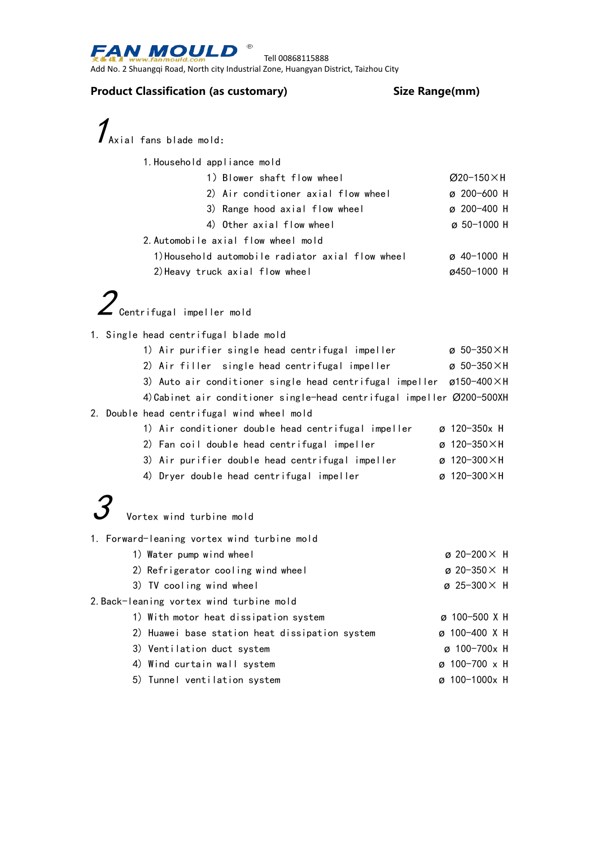

Tell 00868115888

Add No. 2 Shuangqi Road, North city Industrial Zone, Huangyan District, Taizhou City

## **Product Classification (as customary) Size Range(mm)**

 $\boldsymbol{\mathcal{I}}_{\text{Axial fans blade mold:}}$ 

| 1. Household appliance mold                       |                       |  |
|---------------------------------------------------|-----------------------|--|
| 1) Blower shaft flow wheel                        | $Ø$ 20-150 $\times$ H |  |
| 2) Air conditioner axial flow wheel               | $\sigma$ 200-600 H    |  |
| 3) Range hood axial flow wheel                    | $\varphi$ 200-400 H   |  |
| 4) Other axial flow wheel                         | $\sigma$ 50-1000 H    |  |
| 2. Automobile axial flow wheel mold               |                       |  |
| 1) Household automobile radiator axial flow wheel | $\varphi$ 40-1000 H   |  |
| 2) Heavy truck axial flow wheel                   | ø450-1000 H           |  |

- 1. Single head centrifugal blade mold
- 1) Air purifier single head centrifugal impeller  $\qquad \qquad \varnothing \; 50-350 \times H$ 2) Air filler single head centrifugal impeller **ø 50-350×H** 3) Auto air conditioner single head centrifugal impeller ø150-400×H 4)Cabinet air conditioner single-head centrifugal impeller Ø200-500XH 2. Double head centrifugal wind wheel mold 1) Air conditioner double head centrifugal impeller ø 120-350x H 2) Fan coil double head centrifugal impeller  $\qquad \qquad \varnothing$  120-350×H
	- 3) Air purifier double head centrifugal impeller ø 120-300×H
	- 4) Dryer double head centrifugal impeller ø 120-300×H



Vortex wind turbine mold

1. Forward-leaning vortex wind turbine mold

- 1) Water pump wind wheel  $\qquad \qquad \qquad \qquad \qquad \qquad \qquad \qquad$   $20-200\times$  H 2) Refrigerator cooling wind wheel ø 20-350× H 3) TV cooling wind wheel  $\qquad \qquad \qquad \qquad \qquad \qquad \qquad \qquad \qquad \qquad \qquad \text{25-300} \times \text{ H}$ 2.Back-leaning vortex wind turbine mold
	- 1) With motor heat dissipation system ø 100-500 X H 2) Huawei base station heat dissipation system ø 100-400 X H 3) Ventilation duct system ø 100-700x H 4) Wind curtain wall system ø 100-700 x H
	- 5) Tunnel ventilation system ø 100-1000x H